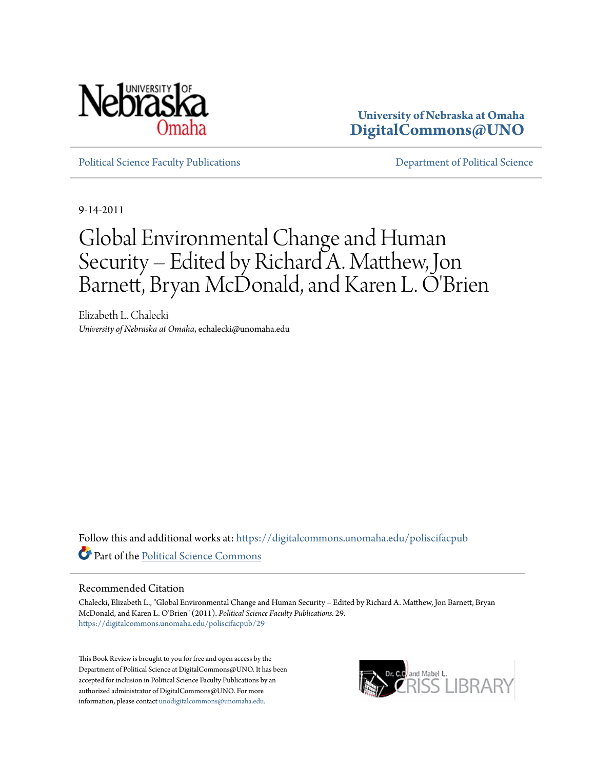

**University of Nebraska at Omaha [DigitalCommons@UNO](https://digitalcommons.unomaha.edu/?utm_source=digitalcommons.unomaha.edu%2Fpoliscifacpub%2F29&utm_medium=PDF&utm_campaign=PDFCoverPages)**

[Political Science Faculty Publications](https://digitalcommons.unomaha.edu/poliscifacpub?utm_source=digitalcommons.unomaha.edu%2Fpoliscifacpub%2F29&utm_medium=PDF&utm_campaign=PDFCoverPages) [Department of Political Science](https://digitalcommons.unomaha.edu/polisci?utm_source=digitalcommons.unomaha.edu%2Fpoliscifacpub%2F29&utm_medium=PDF&utm_campaign=PDFCoverPages)

9-14-2011

## Global Environmental Change and Human Security – Edited by Richard A. Matthew, Jon Barnett, Bryan McDonald, and Karen L. O'Brien

Elizabeth L. Chalecki *University of Nebraska at Omaha*, echalecki@unomaha.edu

Follow this and additional works at: [https://digitalcommons.unomaha.edu/poliscifacpub](https://digitalcommons.unomaha.edu/poliscifacpub?utm_source=digitalcommons.unomaha.edu%2Fpoliscifacpub%2F29&utm_medium=PDF&utm_campaign=PDFCoverPages) Part of the [Political Science Commons](http://network.bepress.com/hgg/discipline/386?utm_source=digitalcommons.unomaha.edu%2Fpoliscifacpub%2F29&utm_medium=PDF&utm_campaign=PDFCoverPages)

## Recommended Citation

Chalecki, Elizabeth L., "Global Environmental Change and Human Security – Edited by Richard A. Matthew, Jon Barnett, Bryan McDonald, and Karen L. O'Brien" (2011). *Political Science Faculty Publications*. 29. [https://digitalcommons.unomaha.edu/poliscifacpub/29](https://digitalcommons.unomaha.edu/poliscifacpub/29?utm_source=digitalcommons.unomaha.edu%2Fpoliscifacpub%2F29&utm_medium=PDF&utm_campaign=PDFCoverPages)

This Book Review is brought to you for free and open access by the Department of Political Science at DigitalCommons@UNO. It has been accepted for inclusion in Political Science Faculty Publications by an authorized administrator of DigitalCommons@UNO. For more information, please contact [unodigitalcommons@unomaha.edu.](mailto:unodigitalcommons@unomaha.edu)

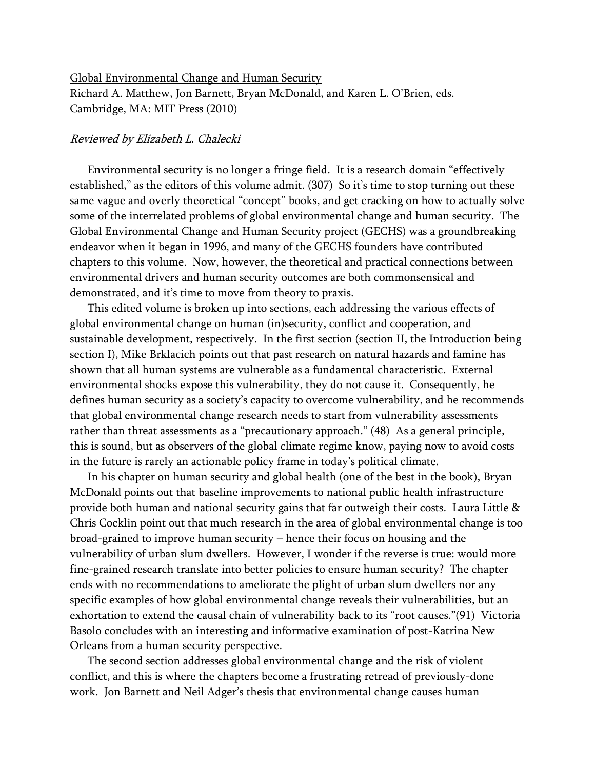## Global Environmental Change and Human Security

Richard A. Matthew, Jon Barnett, Bryan McDonald, and Karen L. O'Brien, eds. Cambridge, MA: MIT Press (2010)

## Reviewed by Elizabeth L. Chalecki

Environmental security is no longer a fringe field. It is a research domain "effectively established," as the editors of this volume admit. (307) So it's time to stop turning out these same vague and overly theoretical "concept" books, and get cracking on how to actually solve some of the interrelated problems of global environmental change and human security. The Global Environmental Change and Human Security project (GECHS) was a groundbreaking endeavor when it began in 1996, and many of the GECHS founders have contributed chapters to this volume. Now, however, the theoretical and practical connections between environmental drivers and human security outcomes are both commonsensical and demonstrated, and it's time to move from theory to praxis.

This edited volume is broken up into sections, each addressing the various effects of global environmental change on human (in)security, conflict and cooperation, and sustainable development, respectively. In the first section (section II, the Introduction being section I), Mike Brklacich points out that past research on natural hazards and famine has shown that all human systems are vulnerable as a fundamental characteristic. External environmental shocks expose this vulnerability, they do not cause it. Consequently, he defines human security as a society's capacity to overcome vulnerability, and he recommends that global environmental change research needs to start from vulnerability assessments rather than threat assessments as a "precautionary approach." (48) As a general principle, this is sound, but as observers of the global climate regime know, paying now to avoid costs in the future is rarely an actionable policy frame in today's political climate.

In his chapter on human security and global health (one of the best in the book), Bryan McDonald points out that baseline improvements to national public health infrastructure provide both human and national security gains that far outweigh their costs. Laura Little & Chris Cocklin point out that much research in the area of global environmental change is too broad-grained to improve human security – hence their focus on housing and the vulnerability of urban slum dwellers. However, I wonder if the reverse is true: would more fine-grained research translate into better policies to ensure human security? The chapter ends with no recommendations to ameliorate the plight of urban slum dwellers nor any specific examples of how global environmental change reveals their vulnerabilities, but an exhortation to extend the causal chain of vulnerability back to its "root causes."(91) Victoria Basolo concludes with an interesting and informative examination of post-Katrina New Orleans from a human security perspective.

The second section addresses global environmental change and the risk of violent conflict, and this is where the chapters become a frustrating retread of previously-done work. Jon Barnett and Neil Adger's thesis that environmental change causes human